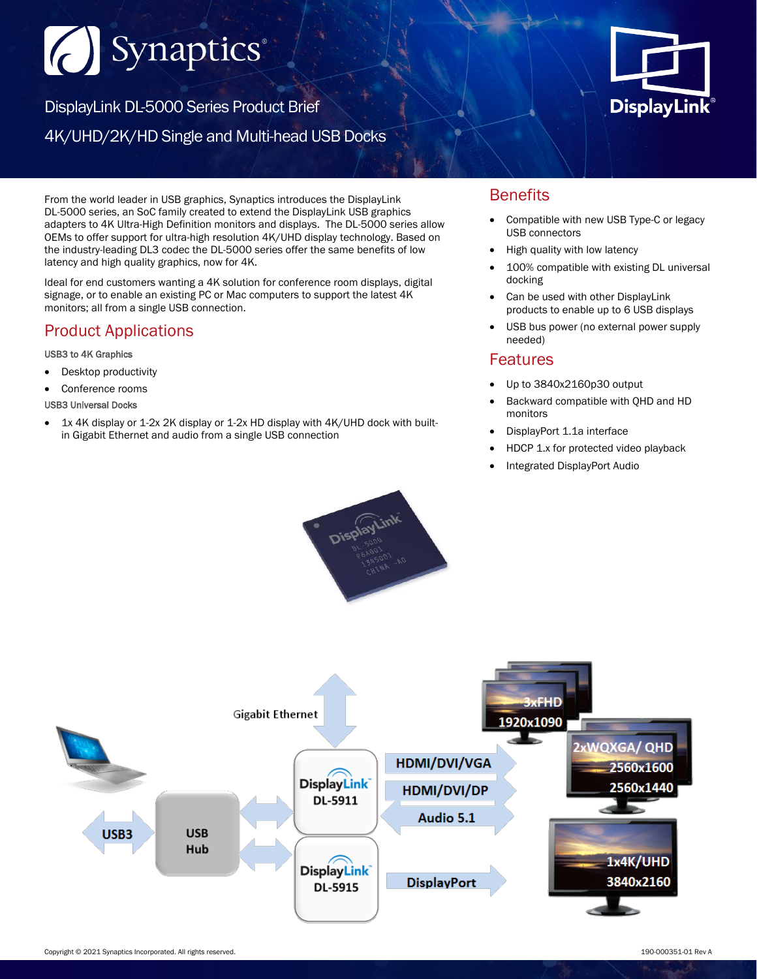# Synaptics®

DisplayLink DL-5000 Series Product Brief 4K/UHD/2K/HD Single and Multi-head USB Docks



From the world leader in USB graphics, Synaptics introduces the DisplayLink DL-5000 series, an SoC family created to extend the DisplayLink USB graphics adapters to 4K Ultra-High Definition monitors and displays. The DL-5000 series allow OEMs to offer support for ultra-high resolution 4K/UHD display technology. Based on the industry-leading DL3 codec the DL-5000 series offer the same benefits of low latency and high quality graphics, now for 4K.

Ideal for end customers wanting a 4K solution for conference room displays, digital signage, or to enable an existing PC or Mac computers to support the latest 4K monitors; all from a single USB connection.

# Product Applications

#### USB3 to 4K Graphics

- Desktop productivity
- Conference rooms
- USB3 Universal Docks
- 1x 4K display or 1-2x 2K display or 1-2x HD display with 4K/UHD dock with builtin Gigabit Ethernet and audio from a single USB connection

### **Benefits**

- Compatible with new USB Type-C or legacy USB connectors
- High quality with low latency
- 100% compatible with existing DL universal docking
- Can be used with other DisplayLink products to enable up to 6 USB displays
- USB bus power (no external power supply needed)

### Features

- Up to 3840x2160p30 output
- Backward compatible with QHD and HD monitors
- DisplayPort 1.1a interface
- HDCP 1.x for protected video playback
- Integrated DisplayPort Audio